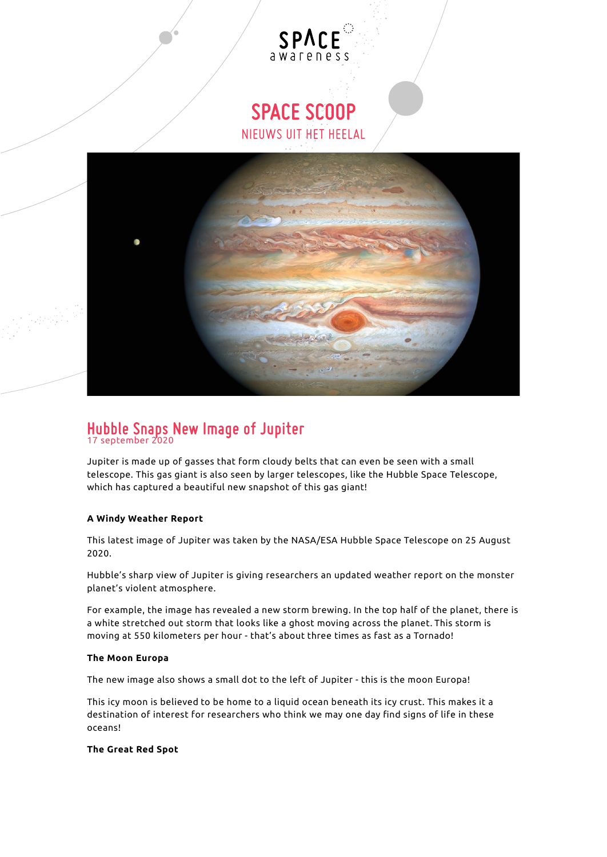## **SPACE SCOOP** NIEUWS UIT HET HEELAL

**SPACE** awareness



# **Hubble Snaps New Image of Jupiter** 17 september 2020

Jupiter is made up of gasses that form cloudy belts that can even be seen with a small telescope. This gas giant is also seen by larger telescopes, like the Hubble Space Telescope, which has captured a beautiful new snapshot of this gas giant!

#### **A Windy Weather Report**

This latest image of Jupiter was taken by the NASA/ESA Hubble Space Telescope on 25 August 2020.

Hubble's sharp view of Jupiter is giving researchers an updated weather report on the monster planet's violent atmosphere.

For example, the image has revealed a new storm brewing. In the top half of the planet, there is a white stretched out storm that looks like a ghost moving across the planet. This storm is moving at 550 kilometers per hour - that's about three times as fast as a Tornado!

#### **The Moon Europa**

The new image also shows a small dot to the left of Jupiter - this is the moon Europa!

This icy moon is believed to be home to a liquid ocean beneath its icy crust. This makes it a destination of interest for researchers who think we may one day find signs of life in these oceans!

#### **The Great Red Spot**